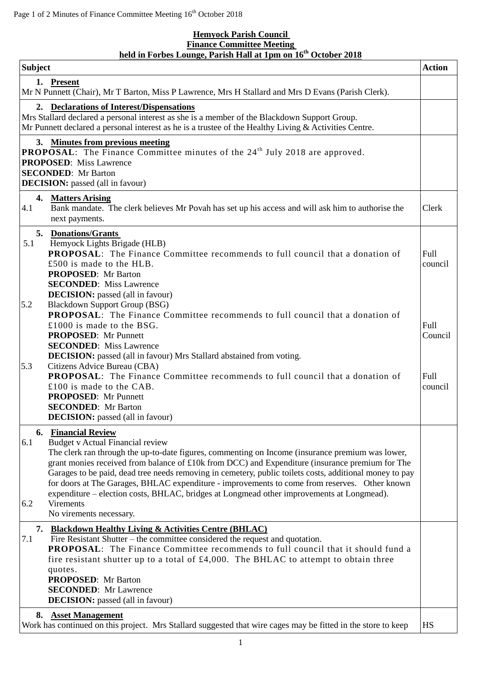## **Hemyock Parish Council Finance Committee Meeting held in Forbes Lounge, Parish Hall at 1pm on 16th October 2018**

| <b>Subject</b>                                                                                                                                                                                                                                                                                                                                                                                                                                                                                                                                                                                                                                     | <b>Action</b> |
|----------------------------------------------------------------------------------------------------------------------------------------------------------------------------------------------------------------------------------------------------------------------------------------------------------------------------------------------------------------------------------------------------------------------------------------------------------------------------------------------------------------------------------------------------------------------------------------------------------------------------------------------------|---------------|
| 1. Present<br>Mr N Punnett (Chair), Mr T Barton, Miss P Lawrence, Mrs H Stallard and Mrs D Evans (Parish Clerk).                                                                                                                                                                                                                                                                                                                                                                                                                                                                                                                                   |               |
| 2. Declarations of Interest/Dispensations<br>Mrs Stallard declared a personal interest as she is a member of the Blackdown Support Group.<br>Mr Punnett declared a personal interest as he is a trustee of the Healthy Living $&$ Activities Centre.                                                                                                                                                                                                                                                                                                                                                                                               |               |
| 3. Minutes from previous meeting<br><b>PROPOSAL:</b> The Finance Committee minutes of the 24 <sup>th</sup> July 2018 are approved.<br><b>PROPOSED:</b> Miss Lawrence<br><b>SECONDED:</b> Mr Barton<br><b>DECISION:</b> passed (all in favour)                                                                                                                                                                                                                                                                                                                                                                                                      |               |
| 4. Matters Arising<br>4.1<br>Bank mandate. The clerk believes Mr Povah has set up his access and will ask him to authorise the<br>Clerk<br>next payments.                                                                                                                                                                                                                                                                                                                                                                                                                                                                                          |               |
| 5. Donations/Grants<br>Hemyock Lights Brigade (HLB)<br>5.1<br>PROPOSAL: The Finance Committee recommends to full council that a donation of<br>Full<br>£500 is made to the HLB.<br>council<br><b>PROPOSED:</b> Mr Barton<br><b>SECONDED:</b> Miss Lawrence<br><b>DECISION:</b> passed (all in favour)                                                                                                                                                                                                                                                                                                                                              |               |
| 5.2<br><b>Blackdown Support Group (BSG)</b><br><b>PROPOSAL:</b> The Finance Committee recommends to full council that a donation of<br>Full<br>£1000 is made to the BSG.<br><b>PROPOSED:</b> Mr Punnett<br><b>SECONDED:</b> Miss Lawrence<br><b>DECISION:</b> passed (all in favour) Mrs Stallard abstained from voting.                                                                                                                                                                                                                                                                                                                           | Council       |
| Citizens Advice Bureau (CBA)<br>5.3<br><b>PROPOSAL:</b> The Finance Committee recommends to full council that a donation of<br>Full<br>£100 is made to the CAB.<br>council<br><b>PROPOSED:</b> Mr Punnett<br><b>SECONDED:</b> Mr Barton<br><b>DECISION:</b> passed (all in favour)                                                                                                                                                                                                                                                                                                                                                                 |               |
| <b>6. Financial Review</b><br><b>Budget v Actual Financial review</b><br>6.1<br>The clerk ran through the up-to-date figures, commenting on Income (insurance premium was lower,<br>grant monies received from balance of £10k from DCC) and Expenditure (insurance premium for The<br>Garages to be paid, dead tree needs removing in cemetery, public toilets costs, additional money to pay<br>for doors at The Garages, BHLAC expenditure - improvements to come from reserves. Other known<br>expenditure – election costs, BHLAC, bridges at Longmead other improvements at Longmead).<br><b>Virements</b><br>6.2<br>No virements necessary. |               |
| 7. Blackdown Healthy Living & Activities Centre (BHLAC)                                                                                                                                                                                                                                                                                                                                                                                                                                                                                                                                                                                            |               |
| 7.1<br>Fire Resistant Shutter – the committee considered the request and quotation.<br><b>PROPOSAL:</b> The Finance Committee recommends to full council that it should fund a<br>fire resistant shutter up to a total of £4,000. The BHLAC to attempt to obtain three<br>quotes.<br><b>PROPOSED:</b> Mr Barton<br><b>SECONDED:</b> Mr Lawrence<br><b>DECISION:</b> passed (all in favour)                                                                                                                                                                                                                                                         |               |
| 8. Asset Management<br>Work has continued on this project. Mrs Stallard suggested that wire cages may be fitted in the store to keep<br><b>HS</b>                                                                                                                                                                                                                                                                                                                                                                                                                                                                                                  |               |